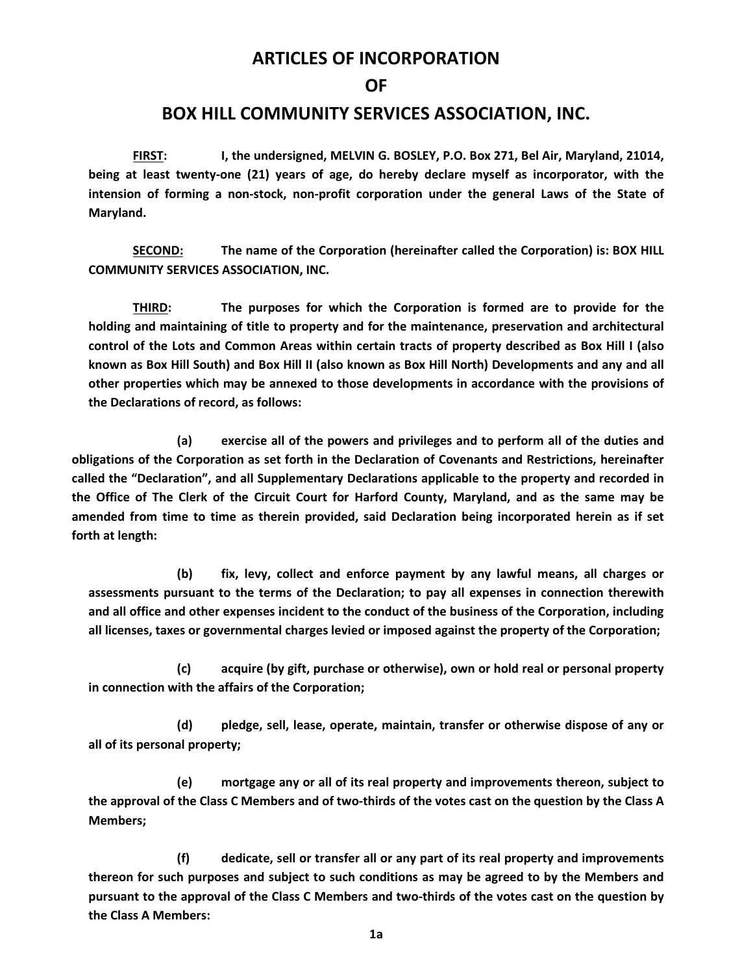## **ARTICLES OF INCORPORATION**

**OF** 

## **BOX HILL COMMUNITY SERVICES ASSOCIATION, INC.**

 **FIRST: I, the undersigned, MELVIN G. BOSLEY, P.O. Box 271, Bel Air, Maryland, 21014, being at least twenty-one (21) years of age, do hereby declare myself as incorporator, with the intension of forming a non-stock, non-profit corporation under the general Laws of the State of Maryland.** 

 **SECOND: The name of the Corporation (hereinafter called the Corporation) is: BOX HILL COMMUNITY SERVICES ASSOCIATION, INC.** 

 **THIRD: The purposes for which the Corporation is formed are to provide for the holding and maintaining of title to property and for the maintenance, preservation and architectural control of the Lots and Common Areas within certain tracts of property described as Box Hill I (also known as Box Hill South) and Box Hill II (also known as Box Hill North) Developments and any and all other properties which may be annexed to those developments in accordance with the provisions of the Declarations of record, as follows:** 

 **(a) exercise all of the powers and privileges and to perform all of the duties and obligations of the Corporation as set forth in the Declaration of Covenants and Restrictions, hereinafter called the "Declaration", and all Supplementary Declarations applicable to the property and recorded in the Office of The Clerk of the Circuit Court for Harford County, Maryland, and as the same may be amended from time to time as therein provided, said Declaration being incorporated herein as if set forth at length:** 

 **(b) fix, levy, collect and enforce payment by any lawful means, all charges or assessments pursuant to the terms of the Declaration; to pay all expenses in connection therewith and all office and other expenses incident to the conduct of the business of the Corporation, including all licenses, taxes or governmental charges levied or imposed against the property of the Corporation;** 

 **(c) acquire (by gift, purchase or otherwise), own or hold real or personal property in connection with the affairs of the Corporation;** 

 **(d) pledge, sell, lease, operate, maintain, transfer or otherwise dispose of any or all of its personal property;** 

 **(e) mortgage any or all of its real property and improvements thereon, subject to the approval of the Class C Members and of two-thirds of the votes cast on the question by the Class A Members;** 

 **(f) dedicate, sell or transfer all or any part of its real property and improvements thereon for such purposes and subject to such conditions as may be agreed to by the Members and pursuant to the approval of the Class C Members and two-thirds of the votes cast on the question by the Class A Members:**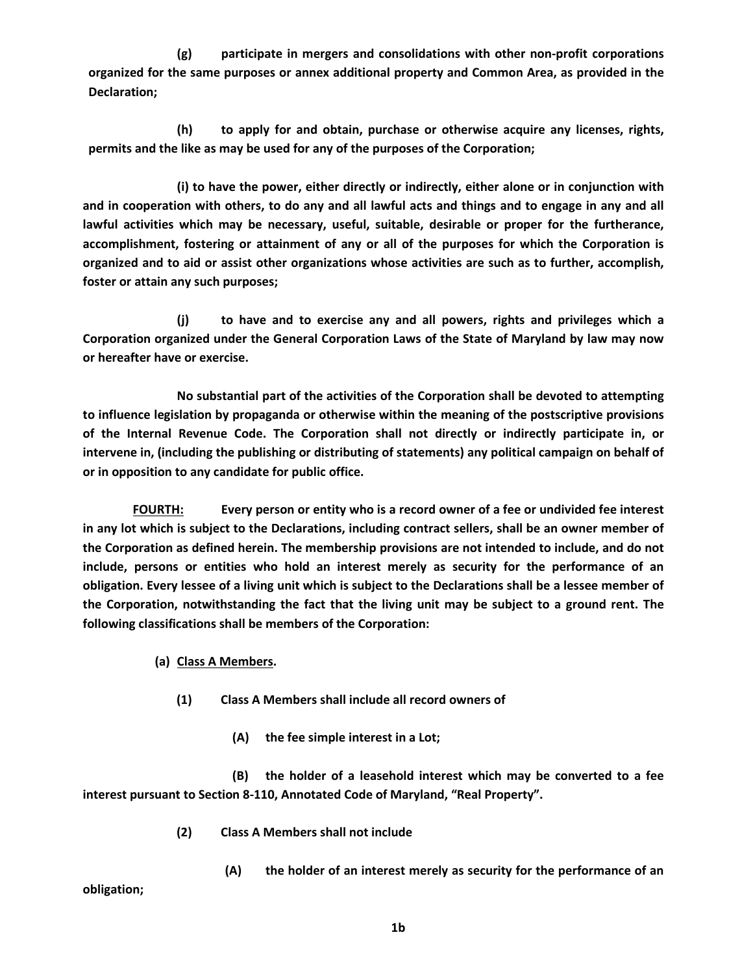**(g) participate in mergers and consolidations with other non-profit corporations organized for the same purposes or annex additional property and Common Area, as provided in the Declaration;** 

 **(h) to apply for and obtain, purchase or otherwise acquire any licenses, rights, permits and the like as may be used for any of the purposes of the Corporation;** 

 **(i) to have the power, either directly or indirectly, either alone or in conjunction with and in cooperation with others, to do any and all lawful acts and things and to engage in any and all lawful activities which may be necessary, useful, suitable, desirable or proper for the furtherance, accomplishment, fostering or attainment of any or all of the purposes for which the Corporation is organized and to aid or assist other organizations whose activities are such as to further, accomplish, foster or attain any such purposes;** 

 **(j) to have and to exercise any and all powers, rights and privileges which a Corporation organized under the General Corporation Laws of the State of Maryland by law may now or hereafter have or exercise.** 

 **No substantial part of the activities of the Corporation shall be devoted to attempting to influence legislation by propaganda or otherwise within the meaning of the postscriptive provisions of the Internal Revenue Code. The Corporation shall not directly or indirectly participate in, or intervene in, (including the publishing or distributing of statements) any political campaign on behalf of or in opposition to any candidate for public office.** 

 **FOURTH: Every person or entity who is a record owner of a fee or undivided fee interest in any lot which is subject to the Declarations, including contract sellers, shall be an owner member of the Corporation as defined herein. The membership provisions are not intended to include, and do not include, persons or entities who hold an interest merely as security for the performance of an obligation. Every lessee of a living unit which is subject to the Declarations shall be a lessee member of the Corporation, notwithstanding the fact that the living unit may be subject to a ground rent. The following classifications shall be members of the Corporation:** 

- **(a) Class A Members.** 
	- **(1) Class A Members shall include all record owners of** 
		- **(A) the fee simple interest in a Lot;**

**(B) the holder of a leasehold interest which may be converted to a fee interest pursuant to Section 8-110, Annotated Code of Maryland, "Real Property".** 

- **(2) Class A Members shall not include** 
	- **(A) the holder of an interest merely as security for the performance of an**

**obligation;**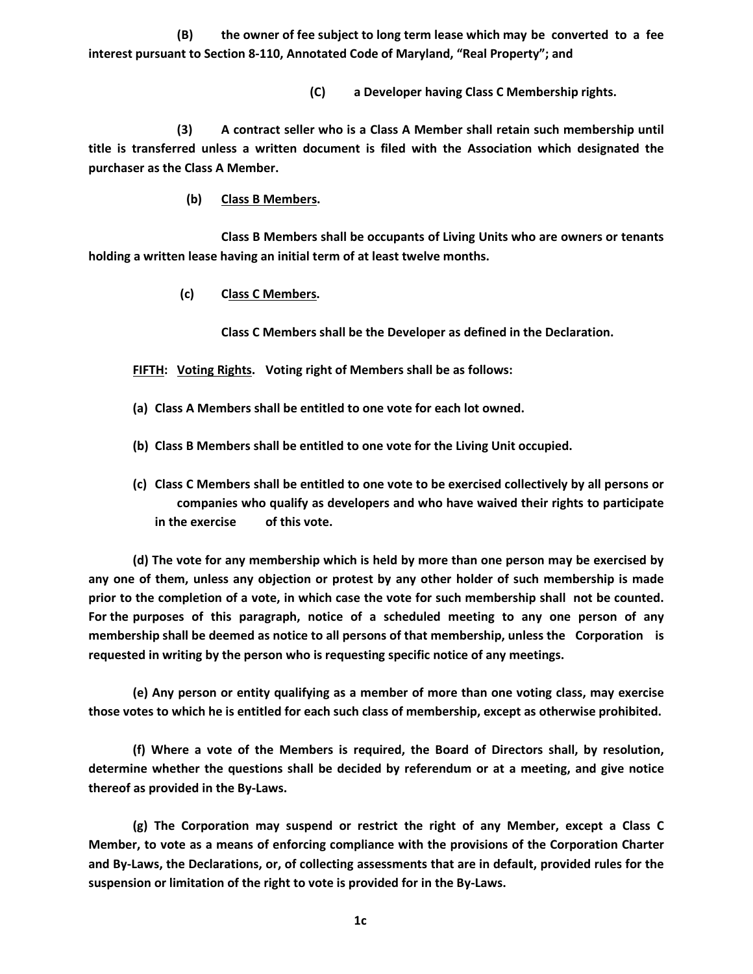**(B) the owner of fee subject to long term lease which may be converted to a fee interest pursuant to Section 8-110, Annotated Code of Maryland, "Real Property"; and** 

**(C) a Developer having Class C Membership rights.** 

 **(3) A contract seller who is a Class A Member shall retain such membership until title is transferred unless a written document is filed with the Association which designated the purchaser as the Class A Member.** 

 **(b) Class B Members.** 

 **Class B Members shall be occupants of Living Units who are owners or tenants holding a written lease having an initial term of at least twelve months.** 

 **(c) Class C Members.**

 **Class C Members shall be the Developer as defined in the Declaration.** 

 **FIFTH: Voting Rights. Voting right of Members shall be as follows:** 

- **(a) Class A Members shall be entitled to one vote for each lot owned.**
- **(b) Class B Members shall be entitled to one vote for the Living Unit occupied.**
- **(c) Class C Members shall be entitled to one vote to be exercised collectively by all persons or companies who qualify as developers and who have waived their rights to participate in the exercise of this vote.**

 **(d) The vote for any membership which is held by more than one person may be exercised by any one of them, unless any objection or protest by any other holder of such membership is made prior to the completion of a vote, in which case the vote for such membership shall not be counted. For the purposes of this paragraph, notice of a scheduled meeting to any one person of any membership shall be deemed as notice to all persons of that membership, unless the Corporation is requested in writing by the person who is requesting specific notice of any meetings.** 

 **(e) Any person or entity qualifying as a member of more than one voting class, may exercise those votes to which he is entitled for each such class of membership, except as otherwise prohibited.** 

 **(f) Where a vote of the Members is required, the Board of Directors shall, by resolution, determine whether the questions shall be decided by referendum or at a meeting, and give notice thereof as provided in the By-Laws.** 

 **(g) The Corporation may suspend or restrict the right of any Member, except a Class C Member, to vote as a means of enforcing compliance with the provisions of the Corporation Charter and By-Laws, the Declarations, or, of collecting assessments that are in default, provided rules for the suspension or limitation of the right to vote is provided for in the By-Laws.**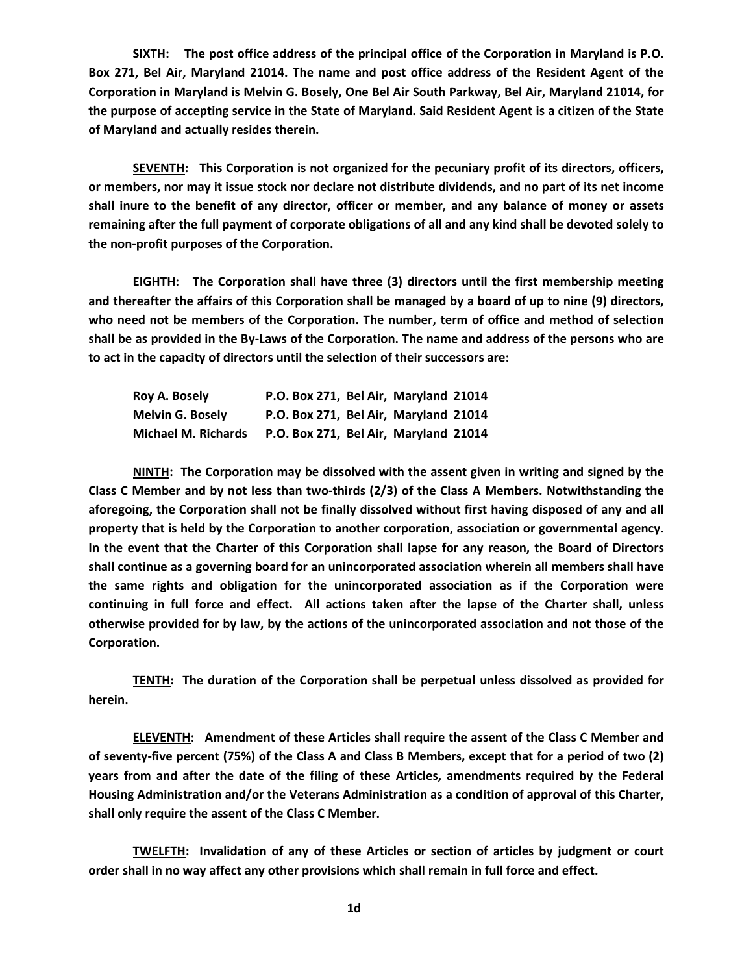**SIXTH: The post office address of the principal office of the Corporation in Maryland is P.O. Box 271, Bel Air, Maryland 21014. The name and post office address of the Resident Agent of the Corporation in Maryland is Melvin G. Bosely, One Bel Air South Parkway, Bel Air, Maryland 21014, for the purpose of accepting service in the State of Maryland. Said Resident Agent is a citizen of the State of Maryland and actually resides therein.** 

 **SEVENTH: This Corporation is not organized for the pecuniary profit of its directors, officers, or members, nor may it issue stock nor declare not distribute dividends, and no part of its net income shall inure to the benefit of any director, officer or member, and any balance of money or assets remaining after the full payment of corporate obligations of all and any kind shall be devoted solely to the non-profit purposes of the Corporation.** 

 **EIGHTH: The Corporation shall have three (3) directors until the first membership meeting and thereafter the affairs of this Corporation shall be managed by a board of up to nine (9) directors, who need not be members of the Corporation. The number, term of office and method of selection shall be as provided in the By-Laws of the Corporation. The name and address of the persons who are to act in the capacity of directors until the selection of their successors are:** 

| Roy A. Bosely           | P.O. Box 271, Bel Air, Maryland 21014 |
|-------------------------|---------------------------------------|
| <b>Melvin G. Bosely</b> | P.O. Box 271, Bel Air, Maryland 21014 |
| Michael M. Richards     | P.O. Box 271, Bel Air, Maryland 21014 |

 **NINTH: The Corporation may be dissolved with the assent given in writing and signed by the Class C Member and by not less than two-thirds (2/3) of the Class A Members. Notwithstanding the aforegoing, the Corporation shall not be finally dissolved without first having disposed of any and all property that is held by the Corporation to another corporation, association or governmental agency. In the event that the Charter of this Corporation shall lapse for any reason, the Board of Directors shall continue as a governing board for an unincorporated association wherein all members shall have the same rights and obligation for the unincorporated association as if the Corporation were continuing in full force and effect. All actions taken after the lapse of the Charter shall, unless otherwise provided for by law, by the actions of the unincorporated association and not those of the Corporation.** 

 **TENTH: The duration of the Corporation shall be perpetual unless dissolved as provided for herein.** 

 **ELEVENTH: Amendment of these Articles shall require the assent of the Class C Member and of seventy-five percent (75%) of the Class A and Class B Members, except that for a period of two (2) years from and after the date of the filing of these Articles, amendments required by the Federal Housing Administration and/or the Veterans Administration as a condition of approval of this Charter, shall only require the assent of the Class C Member.** 

 **TWELFTH: Invalidation of any of these Articles or section of articles by judgment or court order shall in no way affect any other provisions which shall remain in full force and effect.**